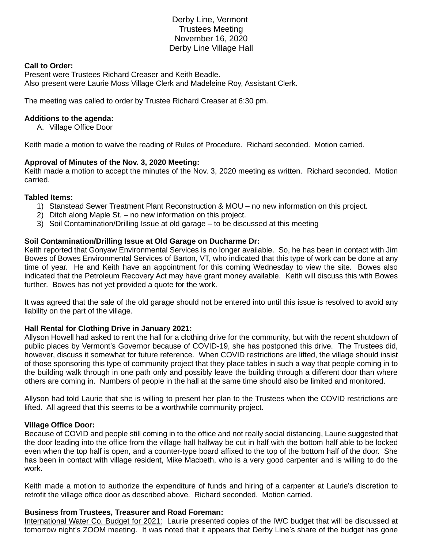# Derby Line, Vermont Trustees Meeting November 16, 2020 Derby Line Village Hall

### **Call to Order:**

Present were Trustees Richard Creaser and Keith Beadle. Also present were Laurie Moss Village Clerk and Madeleine Roy, Assistant Clerk.

The meeting was called to order by Trustee Richard Creaser at 6:30 pm.

### **Additions to the agenda:**

A. Village Office Door

Keith made a motion to waive the reading of Rules of Procedure. Richard seconded. Motion carried.

### **Approval of Minutes of the Nov. 3, 2020 Meeting:**

Keith made a motion to accept the minutes of the Nov. 3, 2020 meeting as written. Richard seconded. Motion carried.

### **Tabled Items:**

- 1) Stanstead Sewer Treatment Plant Reconstruction & MOU no new information on this project.
- 2) Ditch along Maple St. no new information on this project.
- 3) Soil Contamination/Drilling Issue at old garage to be discussed at this meeting

### **Soil Contamination/Drilling Issue at Old Garage on Ducharme Dr:**

Keith reported that Gonyaw Environmental Services is no longer available. So, he has been in contact with Jim Bowes of Bowes Environmental Services of Barton, VT, who indicated that this type of work can be done at any time of year. He and Keith have an appointment for this coming Wednesday to view the site. Bowes also indicated that the Petroleum Recovery Act may have grant money available. Keith will discuss this with Bowes further. Bowes has not yet provided a quote for the work.

It was agreed that the sale of the old garage should not be entered into until this issue is resolved to avoid any liability on the part of the village.

### **Hall Rental for Clothing Drive in January 2021:**

Allyson Howell had asked to rent the hall for a clothing drive for the community, but with the recent shutdown of public places by Vermont's Governor because of COVID-19, she has postponed this drive. The Trustees did, however, discuss it somewhat for future reference. When COVID restrictions are lifted, the village should insist of those sponsoring this type of community project that they place tables in such a way that people coming in to the building walk through in one path only and possibly leave the building through a different door than where others are coming in. Numbers of people in the hall at the same time should also be limited and monitored.

Allyson had told Laurie that she is willing to present her plan to the Trustees when the COVID restrictions are lifted. All agreed that this seems to be a worthwhile community project.

### **Village Office Door:**

Because of COVID and people still coming in to the office and not really social distancing, Laurie suggested that the door leading into the office from the village hall hallway be cut in half with the bottom half able to be locked even when the top half is open, and a counter-type board affixed to the top of the bottom half of the door. She has been in contact with village resident, Mike Macbeth, who is a very good carpenter and is willing to do the work.

Keith made a motion to authorize the expenditure of funds and hiring of a carpenter at Laurie's discretion to retrofit the village office door as described above. Richard seconded. Motion carried.

### **Business from Trustees, Treasurer and Road Foreman:**

International Water Co. Budget for 2021: Laurie presented copies of the IWC budget that will be discussed at tomorrow night's ZOOM meeting. It was noted that it appears that Derby Line's share of the budget has gone